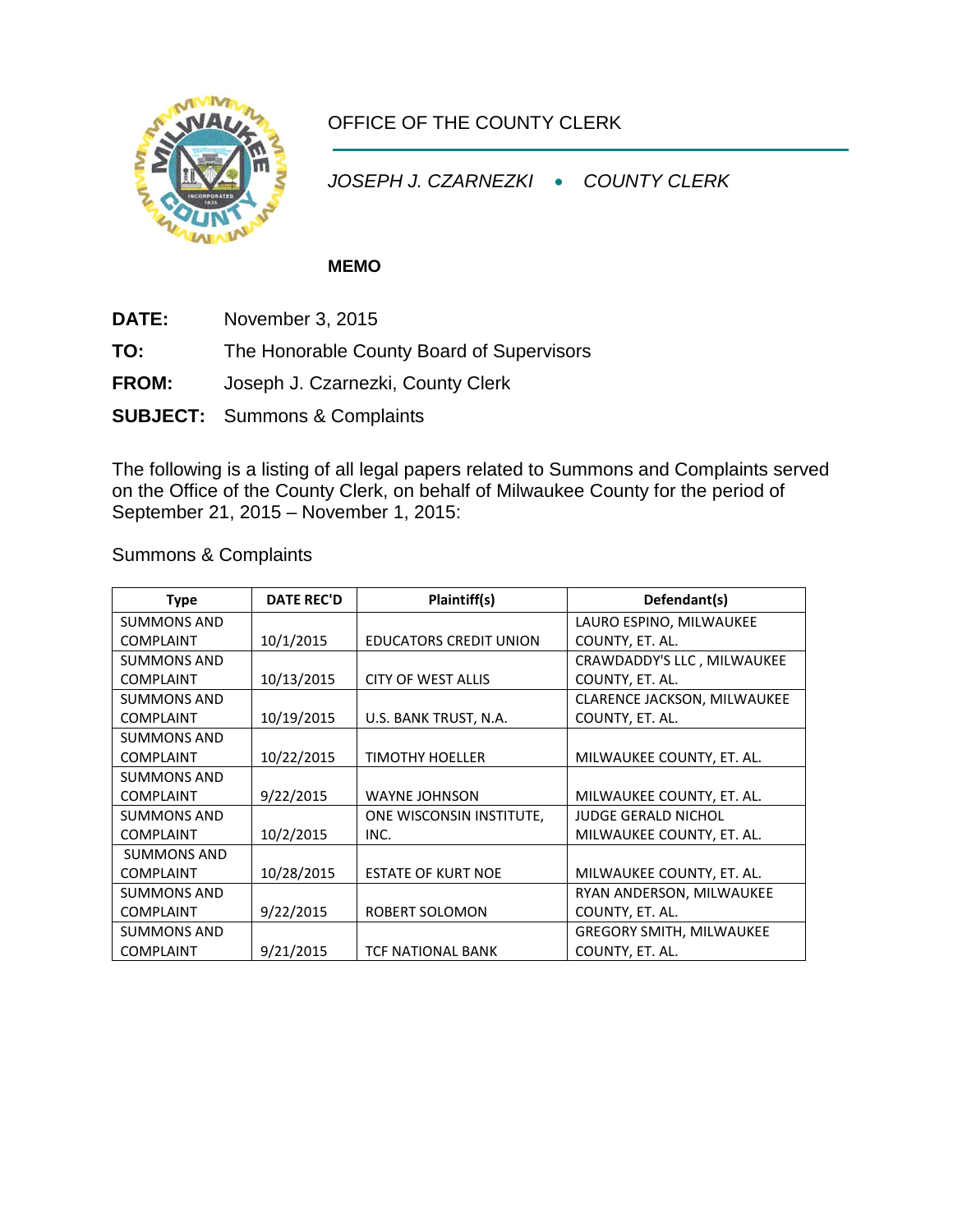

## OFFICE OF THE COUNTY CLERK

*JOSEPH J. CZARNEZKI* • *COUNTY CLERK*

## **MEMO**

- **DATE:** November 3, 2015
- **TO:** The Honorable County Board of Supervisors
- **FROM:** Joseph J. Czarnezki, County Clerk
- **SUBJECT:** Summons & Complaints

The following is a listing of all legal papers related to Summons and Complaints served on the Office of the County Clerk, on behalf of Milwaukee County for the period of September 21, 2015 – November 1, 2015:

| <b>Type</b>        | <b>DATE REC'D</b> | Plaintiff(s)                  | Defendant(s)                    |
|--------------------|-------------------|-------------------------------|---------------------------------|
| <b>SUMMONS AND</b> |                   |                               | LAURO ESPINO, MILWAUKEE         |
| <b>COMPLAINT</b>   | 10/1/2015         | <b>EDUCATORS CREDIT UNION</b> | COUNTY, ET. AL.                 |
| <b>SUMMONS AND</b> |                   |                               | CRAWDADDY'S LLC, MILWAUKEE      |
| <b>COMPLAINT</b>   | 10/13/2015        | <b>CITY OF WEST ALLIS</b>     | COUNTY, ET. AL.                 |
| <b>SUMMONS AND</b> |                   |                               | CLARENCE JACKSON, MILWAUKEE     |
| <b>COMPLAINT</b>   | 10/19/2015        | U.S. BANK TRUST, N.A.         | COUNTY, ET. AL.                 |
| <b>SUMMONS AND</b> |                   |                               |                                 |
| <b>COMPLAINT</b>   | 10/22/2015        | <b>TIMOTHY HOELLER</b>        | MILWAUKEE COUNTY, ET. AL.       |
| <b>SUMMONS AND</b> |                   |                               |                                 |
| <b>COMPLAINT</b>   | 9/22/2015         | <b>WAYNE JOHNSON</b>          | MILWAUKEE COUNTY, ET. AL.       |
| <b>SUMMONS AND</b> |                   | ONE WISCONSIN INSTITUTE,      | <b>JUDGE GERALD NICHOL</b>      |
| <b>COMPLAINT</b>   | 10/2/2015         | INC.                          | MILWAUKEE COUNTY, ET. AL.       |
| <b>SUMMONS AND</b> |                   |                               |                                 |
| <b>COMPLAINT</b>   | 10/28/2015        | <b>ESTATE OF KURT NOE</b>     | MILWAUKEE COUNTY, ET. AL.       |
| <b>SUMMONS AND</b> |                   |                               | RYAN ANDERSON, MILWAUKEE        |
| <b>COMPLAINT</b>   | 9/22/2015         | ROBERT SOLOMON                | COUNTY, ET. AL.                 |
| <b>SUMMONS AND</b> |                   |                               | <b>GREGORY SMITH, MILWAUKEE</b> |
| <b>COMPLAINT</b>   | 9/21/2015         | <b>TCF NATIONAL BANK</b>      | COUNTY, ET. AL.                 |

Summons & Complaints